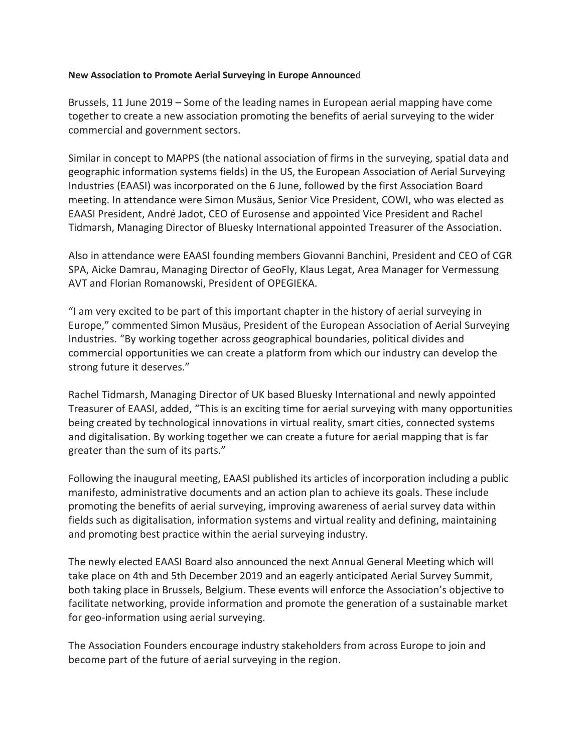## **New Association to Promote Aerial Surveying in Europe Announce**d

Brussels, 11 June 2019 – Some of the leading names in European aerial mapping have come together to create a new association promoting the benefits of aerial surveying to the wider commercial and government sectors.

Similar in concept to MAPPS (the national association of firms in the surveying, spatial data and geographic information systems fields) in the US, the European Association of Aerial Surveying Industries (EAASI) was incorporated on the 6 June, followed by the first Association Board meeting. In attendance were Simon Musäus, Senior Vice President, COWI, who was elected as EAASI President, André Jadot, CEO of Eurosense and appointed Vice President and Rachel Tidmarsh, Managing Director of Bluesky International appointed Treasurer of the Association.

Also in attendance were EAASI founding members Giovanni Banchini, President and CEO of CGR SPA, Aicke Damrau, Managing Director of GeoFly, Klaus Legat, Area Manager for Vermessung AVT and Florian Romanowski, President of OPEGIEKA.

"I am very excited to be part of this important chapter in the history of aerial surveying in Europe," commented Simon Musäus, President of the European Association of Aerial Surveying Industries. "By working together across geographical boundaries, political divides and commercial opportunities we can create a platform from which our industry can develop the strong future it deserves."

Rachel Tidmarsh, Managing Director of UK based Bluesky International and newly appointed Treasurer of EAASI, added, "This is an exciting time for aerial surveying with many opportunities being created by technological innovations in virtual reality, smart cities, connected systems and digitalisation. By working together we can create a future for aerial mapping that is far greater than the sum of its parts."

Following the inaugural meeting, EAASI published its articles of incorporation including a public manifesto, administrative documents and an action plan to achieve its goals. These include promoting the benefits of aerial surveying, improving awareness of aerial survey data within fields such as digitalisation, information systems and virtual reality and defining, maintaining and promoting best practice within the aerial surveying industry.

The newly elected EAASI Board also announced the next Annual General Meeting which will take place on 4th and 5th December 2019 and an eagerly anticipated Aerial Survey Summit, both taking place in Brussels, Belgium. These events will enforce the Association's objective to facilitate networking, provide information and promote the generation of a sustainable market for geo-information using aerial surveying.

The Association Founders encourage industry stakeholders from across Europe to join and become part of the future of aerial surveying in the region.